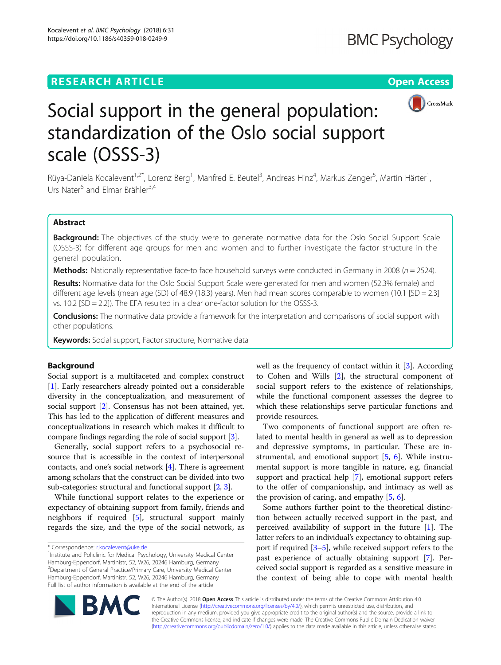# **RESEARCH ARTICLE Example 2018 12:30 THE Open Access**



# Social support in the general population: standardization of the Oslo social support scale (OSSS-3)

Rüya-Daniela Kocalevent<sup>1,2\*</sup>, Lorenz Berg<sup>1</sup>, Manfred E. Beutel<sup>3</sup>, Andreas Hinz<sup>4</sup>, Markus Zenger<sup>5</sup>, Martin Härter<sup>1</sup> , Urs Nater<sup>6</sup> and Elmar Brähler<sup>3,4</sup>

# Abstract

Background: The objectives of the study were to generate normative data for the Oslo Social Support Scale (OSSS-3) for different age groups for men and women and to further investigate the factor structure in the general population.

**Methods:** Nationally representative face-to face household surveys were conducted in Germany in 2008 ( $n = 2524$ ).

Results: Normative data for the Oslo Social Support Scale were generated for men and women (52.3% female) and different age levels (mean age (SD) of 48.9 (18.3) years). Men had mean scores comparable to women (10.1 [SD = 2.3] vs. 10.2 [SD = 2.2]). The EFA resulted in a clear one-factor solution for the OSSS-3.

**Conclusions:** The normative data provide a framework for the interpretation and comparisons of social support with other populations.

Keywords: Social support, Factor structure, Normative data

# Background

Social support is a multifaceted and complex construct [[1\]](#page-6-0). Early researchers already pointed out a considerable diversity in the conceptualization, and measurement of social support [[2\]](#page-6-0). Consensus has not been attained, yet. This has led to the application of different measures and conceptualizations in research which makes it difficult to compare findings regarding the role of social support [\[3](#page-6-0)].

Generally, social support refers to a psychosocial resource that is accessible in the context of interpersonal contacts, and one's social network [[4](#page-6-0)]. There is agreement among scholars that the construct can be divided into two sub-categories: structural and functional support [[2,](#page-6-0) [3](#page-6-0)].

While functional support relates to the experience or expectancy of obtaining support from family, friends and neighbors if required [[5\]](#page-6-0), structural support mainly regards the size, and the type of the social network, as

\* Correspondence: [r.kocalevent@uke.de](mailto:r.kocalevent@uke.de) <sup>1</sup>

<sup>1</sup>Institute and Policlinic for Medical Psychology, University Medical Center Hamburg-Eppendorf, Martinistr, 52, W26, 20246 Hamburg, Germany 2 Department of General Practice/Primary Care, University Medical Center Hamburg-Eppendorf, Martinistr. 52, W26, 20246 Hamburg, Germany Full list of author information is available at the end of the article

well as the frequency of contact within it [[3\]](#page-6-0). According to Cohen and Wills [[2](#page-6-0)], the structural component of social support refers to the existence of relationships, while the functional component assesses the degree to which these relationships serve particular functions and provide resources.

Two components of functional support are often related to mental health in general as well as to depression and depressive symptoms, in particular. These are instrumental, and emotional support [\[5](#page-6-0), [6](#page-6-0)]. While instrumental support is more tangible in nature, e.g. financial support and practical help [[7\]](#page-6-0), emotional support refers to the offer of companionship, and intimacy as well as the provision of caring, and empathy [[5,](#page-6-0) [6\]](#page-6-0).

Some authors further point to the theoretical distinction between actually received support in the past, and perceived availability of support in the future [[1](#page-6-0)]. The latter refers to an individual's expectancy to obtaining support if required [\[3](#page-6-0)–[5\]](#page-6-0), while received support refers to the past experience of actually obtaining support [\[7](#page-6-0)]. Perceived social support is regarded as a sensitive measure in the context of being able to cope with mental health



© The Author(s). 2018 Open Access This article is distributed under the terms of the Creative Commons Attribution 4.0 International License [\(http://creativecommons.org/licenses/by/4.0/](http://creativecommons.org/licenses/by/4.0/)), which permits unrestricted use, distribution, and reproduction in any medium, provided you give appropriate credit to the original author(s) and the source, provide a link to the Creative Commons license, and indicate if changes were made. The Creative Commons Public Domain Dedication waiver [\(http://creativecommons.org/publicdomain/zero/1.0/](http://creativecommons.org/publicdomain/zero/1.0/)) applies to the data made available in this article, unless otherwise stated.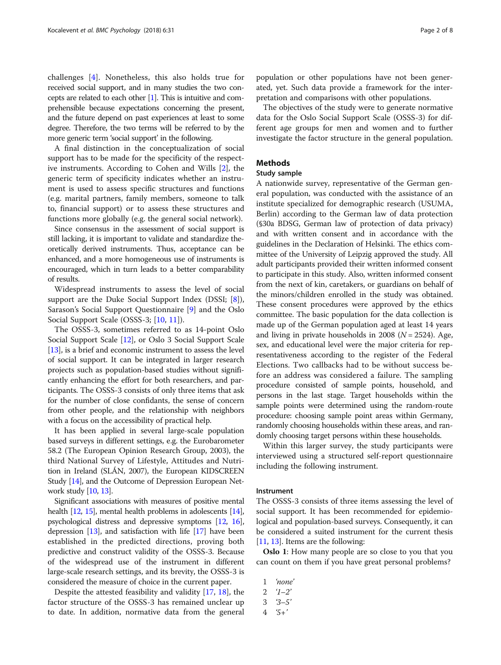challenges [[4\]](#page-6-0). Nonetheless, this also holds true for received social support, and in many studies the two concepts are related to each other [[1](#page-6-0)]. This is intuitive and comprehensible because expectations concerning the present, and the future depend on past experiences at least to some degree. Therefore, the two terms will be referred to by the more generic term 'social support' in the following.

A final distinction in the conceptualization of social support has to be made for the specificity of the respective instruments. According to Cohen and Wills [[2](#page-6-0)], the generic term of specificity indicates whether an instrument is used to assess specific structures and functions (e.g. marital partners, family members, someone to talk to, financial support) or to assess these structures and functions more globally (e.g. the general social network).

Since consensus in the assessment of social support is still lacking, it is important to validate and standardize theoretically derived instruments. Thus, acceptance can be enhanced, and a more homogeneous use of instruments is encouraged, which in turn leads to a better comparability of results.

Widespread instruments to assess the level of social support are the Duke Social Support Index (DSSI; [\[8](#page-6-0)]), Sarason's Social Support Questionnaire [\[9](#page-6-0)] and the Oslo Social Support Scale (OSSS-3; [\[10,](#page-6-0) [11\]](#page-6-0)).

The OSSS-3, sometimes referred to as 14-point Oslo Social Support Scale [\[12\]](#page-7-0), or Oslo 3 Social Support Scale [[13](#page-7-0)], is a brief and economic instrument to assess the level of social support. It can be integrated in larger research projects such as population-based studies without significantly enhancing the effort for both researchers, and participants. The OSSS-3 consists of only three items that ask for the number of close confidants, the sense of concern from other people, and the relationship with neighbors with a focus on the accessibility of practical help.

It has been applied in several large-scale population based surveys in different settings, e.g. the Eurobarometer 58.2 (The European Opinion Research Group, 2003), the third National Survey of Lifestyle, Attitudes and Nutrition in Ireland (SLÁN, 2007), the European KIDSCREEN Study [\[14](#page-7-0)], and the Outcome of Depression European Network study [[10](#page-6-0), [13](#page-7-0)].

Significant associations with measures of positive mental health [[12](#page-7-0), [15](#page-7-0)], mental health problems in adolescents [\[14](#page-7-0)], psychological distress and depressive symptoms [\[12,](#page-7-0) [16](#page-7-0)], depression  $[13]$ , and satisfaction with life  $[17]$  $[17]$  $[17]$  have been established in the predicted directions, proving both predictive and construct validity of the OSSS-3. Because of the widespread use of the instrument in different large-scale research settings, and its brevity, the OSSS-3 is considered the measure of choice in the current paper.

Despite the attested feasibility and validity [\[17](#page-7-0), [18](#page-7-0)], the factor structure of the OSSS-3 has remained unclear up to date. In addition, normative data from the general

population or other populations have not been generated, yet. Such data provide a framework for the interpretation and comparisons with other populations.

The objectives of the study were to generate normative data for the Oslo Social Support Scale (OSSS-3) for different age groups for men and women and to further investigate the factor structure in the general population.

## Methods

# Study sample

A nationwide survey, representative of the German general population, was conducted with the assistance of an institute specialized for demographic research (USUMA, Berlin) according to the German law of data protection (§30a BDSG, German law of protection of data privacy) and with written consent and in accordance with the guidelines in the Declaration of Helsinki. The ethics committee of the University of Leipzig approved the study. All adult participants provided their written informed consent to participate in this study. Also, written informed consent from the next of kin, caretakers, or guardians on behalf of the minors/children enrolled in the study was obtained. These consent procedures were approved by the ethics committee. The basic population for the data collection is made up of the German population aged at least 14 years and living in private households in 2008 ( $N = 2524$ ). Age, sex, and educational level were the major criteria for representativeness according to the register of the Federal Elections. Two callbacks had to be without success before an address was considered a failure. The sampling procedure consisted of sample points, household, and persons in the last stage. Target households within the sample points were determined using the random-route procedure: choosing sample point areas within Germany, randomly choosing households within these areas, and randomly choosing target persons within these households.

Within this larger survey, the study participants were interviewed using a structured self-report questionnaire including the following instrument.

#### Instrument

The OSSS-3 consists of three items assessing the level of social support. It has been recommended for epidemiological and population-based surveys. Consequently, it can be considered a suited instrument for the current thesis [[11](#page-6-0), [13\]](#page-7-0). Items are the following:

**Oslo 1:** How many people are so close to you that you can count on them if you have great personal problems?

- 1 'none'
- $2 \t 1-2$
- $3 \quad 3-5'$
- $4 \t5+$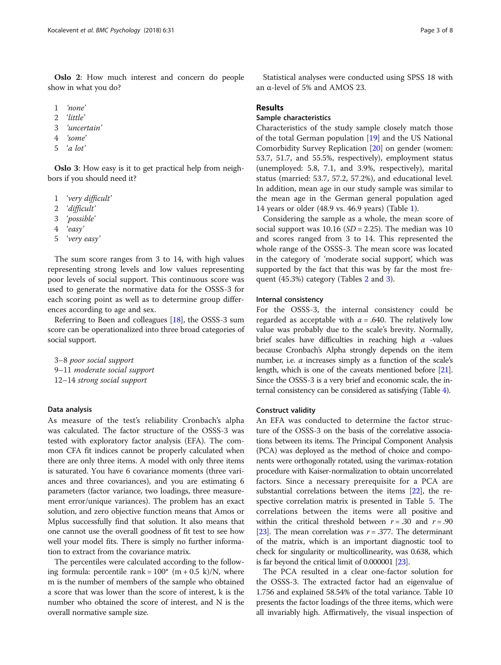- 2 'little'
- 3 'uncertain'

show in what you do?

- 4 'some'
- 5 'a lot'

Oslo 3: How easy is it to get practical help from neighbors if you should need it?

- 1 'very difficult'
- 2 'difficult'
- 3 'possible'
- 4 'easy'
- 5 'very easy'

The sum score ranges from 3 to 14, with high values representing strong levels and low values representing poor levels of social support. This continuous score was used to generate the normative data for the OSSS-3 for each scoring point as well as to determine group differences according to age and sex.

Referring to Bøen and colleagues [\[18\]](#page-7-0), the OSSS-3 sum score can be operationalized into three broad categories of social support.

3–8 poor social support 9–11 moderate social support 12–14 strong social support

## Data analysis

As measure of the test's reliability Cronbach's alpha was calculated. The factor structure of the OSSS-3 was tested with exploratory factor analysis (EFA). The common CFA fit indices cannot be properly calculated when there are only three items. A model with only three items is saturated. You have 6 covariance moments (three variances and three covariances), and you are estimating 6 parameters (factor variance, two loadings, three measurement error/unique variances). The problem has an exact solution, and zero objective function means that Amos or Mplus successfully find that solution. It also means that one cannot use the overall goodness of fit test to see how well your model fits. There is simply no further information to extract from the covariance matrix.

The percentiles were calculated according to the following formula: percentile rank =  $100^*$  (m + 0.5 k)/N, where m is the number of members of the sample who obtained a score that was lower than the score of interest, k is the number who obtained the score of interest, and N is the overall normative sample size.

Statistical analyses were conducted using SPSS 18 with an α-level of 5% and AMOS 23.

## Results

# Sample characteristics

Characteristics of the study sample closely match those of the total German population [[19\]](#page-7-0) and the US National Comorbidity Survey Replication [\[20](#page-7-0)] on gender (women: 53.7, 51.7, and 55.5%, respectively), employment status (unemployed: 5.8, 7.1, and 3.9%, respectively), marital status (married: 53.7, 57.2, 57.2%), and educational level. In addition, mean age in our study sample was similar to the mean age in the German general population aged 14 years or older (48.9 vs. 46.9 years) (Table [1\)](#page-3-0).

Considering the sample as a whole, the mean score of social support was  $10.16$  (*SD* = 2.25). The median was 10 and scores ranged from 3 to 14. This represented the whole range of the OSSS-3. The mean score was located in the category of 'moderate social support', which was supported by the fact that this was by far the most frequent (45.3%) category (Tables [2](#page-3-0) and [3](#page-3-0)).

# Internal consistency

For the OSSS-3, the internal consistency could be regarded as acceptable with  $\alpha$  = .640. The relatively low value was probably due to the scale's brevity. Normally, brief scales have difficulties in reaching high  $\alpha$  -values because Cronbach's Alpha strongly depends on the item number, i.e.  $\alpha$  increases simply as a function of the scale's length, which is one of the caveats mentioned before [\[21](#page-7-0)]. Since the OSSS-3 is a very brief and economic scale, the internal consistency can be considered as satisfying (Table [4\)](#page-3-0).

## Construct validity

An EFA was conducted to determine the factor structure of the OSSS-3 on the basis of the correlative associations between its items. The Principal Component Analysis (PCA) was deployed as the method of choice and components were orthogonally rotated, using the varimax-rotation procedure with Kaiser-normalization to obtain uncorrelated factors. Since a necessary prerequisite for a PCA are substantial correlations between the items [[22](#page-7-0)], the respective correlation matrix is presented in Table [5.](#page-4-0) The correlations between the items were all positive and within the critical threshold between  $r = .30$  and  $r = .90$ [[23](#page-7-0)]. The mean correlation was  $r = .377$ . The determinant of the matrix, which is an important diagnostic tool to check for singularity or multicollinearity, was 0.638, which is far beyond the critical limit of 0.000001 [\[23](#page-7-0)].

The PCA resulted in a clear one-factor solution for the OSSS-3. The extracted factor had an eigenvalue of 1.756 and explained 58.54% of the total variance. Table 10 presents the factor loadings of the three items, which were all invariably high. Affirmatively, the visual inspection of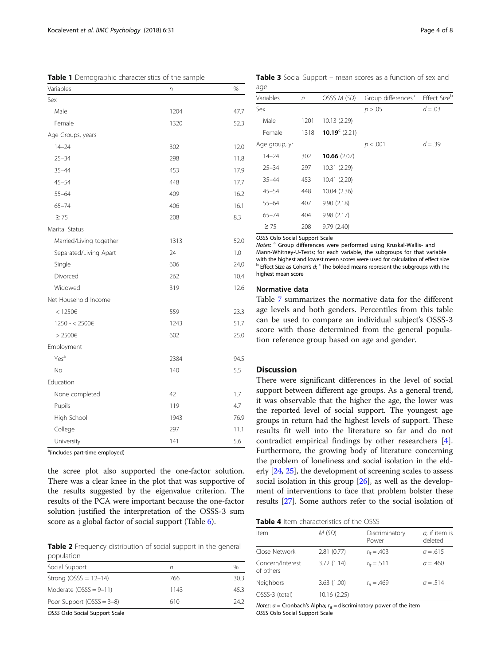<span id="page-3-0"></span>Table 1 Demographic characteristics of the sample

| Variables               | n    | %    |  |  |
|-------------------------|------|------|--|--|
| Sex                     |      |      |  |  |
| Male                    | 1204 | 47.7 |  |  |
| Female                  | 1320 | 52.3 |  |  |
| Age Groups, years       |      |      |  |  |
| $14 - 24$               | 302  | 12.0 |  |  |
| $25 - 34$               | 298  | 11.8 |  |  |
| $35 - 44$               | 453  | 17.9 |  |  |
| $45 - 54$               | 448  | 17.7 |  |  |
| $55 - 64$               | 409  | 16.2 |  |  |
| $65 - 74$               | 406  | 16.1 |  |  |
| $\geq 75$               | 208  | 8.3  |  |  |
| Marital Status          |      |      |  |  |
| Married/Living together | 1313 | 52.0 |  |  |
| Separated/Living Apart  | 24   | 1.0  |  |  |
| Single                  | 606  | 24,0 |  |  |
| Divorced                | 262  | 10.4 |  |  |
| Widowed                 | 319  | 12.6 |  |  |
| Net Household Income    |      |      |  |  |
| $<$ 1250€               | 559  | 23.3 |  |  |
| 1250 - < 2500€          | 1243 | 51.7 |  |  |
| $>$ 2500€               | 602  | 25.0 |  |  |
| Employment              |      |      |  |  |
| Yes <sup>a</sup>        | 2384 | 94.5 |  |  |
| No                      | 140  | 5.5  |  |  |
| Education               |      |      |  |  |
| None completed          | 42   | 1.7  |  |  |
| Pupils                  | 119  | 4.7  |  |  |
| High School             | 1943 | 76.9 |  |  |
| College                 | 297  | 11.1 |  |  |
| University              | 141  | 5.6  |  |  |

<sup>a</sup>(includes part-time employed)

the scree plot also supported the one-factor solution. There was a clear knee in the plot that was supportive of the results suggested by the eigenvalue criterion. The results of the PCA were important because the one-factor solution justified the interpretation of the OSSS-3 sum score as a global factor of social support (Table [6](#page-4-0)).

Table 2 Frequency distribution of social support in the general population

| Social Support               |      |      |
|------------------------------|------|------|
| Strong (OSSS = $12-14$ )     | 766  | 30.3 |
| Moderate $(OSSS = 9-11)$     | 1143 | 453. |
| Poor Support (OSSS = $3-8$ ) | 610  | 242. |

OSSS Oslo Social Support Scale

Table 3 Social Support – mean scores as a function of sex and age

| $-9-$         |      |                     |                                |              |
|---------------|------|---------------------|--------------------------------|--------------|
| Variables     | n    | OSSS M (SD)         | Group differences <sup>a</sup> | Effect Sizeb |
| Sex           |      |                     | p > .05                        | $d = .03$    |
| Male          | 1201 | 10.13 (2.29)        |                                |              |
| Female        | 1318 | 10.19 $^{c}$ (2.21) |                                |              |
| Age group, yr |      |                     | p < .001                       | $d = .39$    |
| $14 - 24$     | 302  | 10.66(2.07)         |                                |              |
| $25 - 34$     | 297  | 10.31 (2.29)        |                                |              |
| $35 - 44$     | 453  | 10.41 (2,20)        |                                |              |
| $45 - 54$     | 448  | 10.04 (2.36)        |                                |              |
| $55 - 64$     | 407  | 9.90(2.18)          |                                |              |
| $65 - 74$     | 404  | 9.98(2.17)          |                                |              |
| $\geq 75$     | 208  | 9.79(2.40)          |                                |              |

OSSS Oslo Social Support Scale

Notes: <sup>a</sup> Group differences were performed using Kruskal-Wallis- and Mann-Whitney-U-Tests; for each variable, the subgroups for that variable with the highest and lowest mean scores were used for calculation of effect size  $b$  Effect Size as Cohen's d;  $c$  The bolded means represent the subgroups with the highest mean score

# Normative data

Table [7](#page-5-0) summarizes the normative data for the different age levels and both genders. Percentiles from this table can be used to compare an individual subject's OSSS-3 score with those determined from the general population reference group based on age and gender.

#### **Discussion**

There were significant differences in the level of social support between different age groups. As a general trend, it was observable that the higher the age, the lower was the reported level of social support. The youngest age groups in return had the highest levels of support. These results fit well into the literature so far and do not contradict empirical findings by other researchers [\[4](#page-6-0)]. Furthermore, the growing body of literature concerning the problem of loneliness and social isolation in the elderly [\[24,](#page-7-0) [25](#page-7-0)], the development of screening scales to assess social isolation in this group [\[26\]](#page-7-0), as well as the development of interventions to face that problem bolster these results [[27](#page-7-0)]. Some authors refer to the social isolation of

| <b>Table 4</b> Item characteristics of the OSSS |  |  |  |  |  |
|-------------------------------------------------|--|--|--|--|--|
|-------------------------------------------------|--|--|--|--|--|

| Item                          | M (SD)       | Discriminatory<br>Power | $a$ , if item is<br>deleted |
|-------------------------------|--------------|-------------------------|-----------------------------|
| Close Network                 | 2.81(0.77)   | $r_{ir} = .403$         | $a = 0.615$                 |
| Concern/Interest<br>of others | 3.72(1.14)   | $r_{it} = .511$         | $a = .460$                  |
| Neighbors                     | 3.63(1.00)   | $r_{it} = .469$         | $a = 0.514$                 |
| OSSS-3 (total)                | 10.16 (2.25) |                         |                             |
|                               |              |                         |                             |

Notes:  $\alpha$  = Cronbach's Alpha;  $r_{it}$  = discriminatory power of the item OSSS Oslo Social Support Scale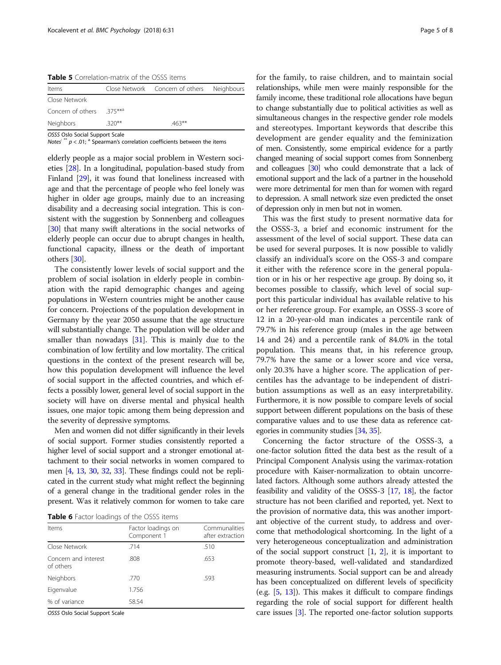<span id="page-4-0"></span>Table 5 Correlation-matrix of the OSSS items

| Items                    |         | Close Network Concern of others Neighbours |  |
|--------------------------|---------|--------------------------------------------|--|
| Close Network            |         |                                            |  |
| Concern of others 375*** |         |                                            |  |
| Neighbors                | $320**$ | $463**$                                    |  |

OSSS Oslo Social Support Scale

Notes<sup>: \*\*</sup>  $p < .01$ ;  $\frac{1}{a}$  Spearman's correlation coefficients between the items

elderly people as a major social problem in Western societies [\[28\]](#page-7-0). In a longitudinal, population-based study from Finland [[29](#page-7-0)], it was found that loneliness increased with age and that the percentage of people who feel lonely was higher in older age groups, mainly due to an increasing disability and a decreasing social integration. This is consistent with the suggestion by Sonnenberg and colleagues [[30](#page-7-0)] that many swift alterations in the social networks of elderly people can occur due to abrupt changes in health, functional capacity, illness or the death of important others [\[30\]](#page-7-0).

The consistently lower levels of social support and the problem of social isolation in elderly people in combination with the rapid demographic changes and ageing populations in Western countries might be another cause for concern. Projections of the population development in Germany by the year 2050 assume that the age structure will substantially change. The population will be older and smaller than nowadays [\[31\]](#page-7-0). This is mainly due to the combination of low fertility and low mortality. The critical questions in the context of the present research will be, how this population development will influence the level of social support in the affected countries, and which effects a possibly lower, general level of social support in the society will have on diverse mental and physical health issues, one major topic among them being depression and the severity of depressive symptoms.

Men and women did not differ significantly in their levels of social support. Former studies consistently reported a higher level of social support and a stronger emotional attachment to their social networks in women compared to men [[4](#page-6-0), [13](#page-7-0), [30](#page-7-0), [32](#page-7-0), [33](#page-7-0)]. These findings could not be replicated in the current study what might reflect the beginning of a general change in the traditional gender roles in the present. Was it relatively common for women to take care

Table 6 Factor loadings of the OSSS items

| Items                             | Factor loadings on<br>Component 1 | Communalities<br>after extraction |
|-----------------------------------|-----------------------------------|-----------------------------------|
| Close Network                     | .714                              | .510                              |
| Concern and interest<br>of others | .808                              | .653                              |
| Neighbors                         | .770                              | .593                              |
| Eigenvalue                        | 1.756                             |                                   |
| % of variance                     | 58.54                             |                                   |

OSSS Oslo Social Support Scale

for the family, to raise children, and to maintain social relationships, while men were mainly responsible for the family income, these traditional role allocations have begun to change substantially due to political activities as well as simultaneous changes in the respective gender role models and stereotypes. Important keywords that describe this development are gender equality and the feminization of men. Consistently, some empirical evidence for a partly changed meaning of social support comes from Sonnenberg and colleagues [\[30](#page-7-0)] who could demonstrate that a lack of emotional support and the lack of a partner in the household were more detrimental for men than for women with regard to depression. A small network size even predicted the onset of depression only in men but not in women.

This was the first study to present normative data for the OSSS-3, a brief and economic instrument for the assessment of the level of social support. These data can be used for several purposes. It is now possible to validly classify an individual's score on the OSS-3 and compare it either with the reference score in the general population or in his or her respective age group. By doing so, it becomes possible to classify, which level of social support this particular individual has available relative to his or her reference group. For example, an OSSS-3 score of 12 in a 20-year-old man indicates a percentile rank of 79.7% in his reference group (males in the age between 14 and 24) and a percentile rank of 84.0% in the total population. This means that, in his reference group, 79.7% have the same or a lower score and vice versa, only 20.3% have a higher score. The application of percentiles has the advantage to be independent of distribution assumptions as well as an easy interpretability. Furthermore, it is now possible to compare levels of social support between different populations on the basis of these comparative values and to use these data as reference categories in community studies [\[34,](#page-7-0) [35\]](#page-7-0).

Concerning the factor structure of the OSSS-3, a one-factor solution fitted the data best as the result of a Principal Component Analysis using the varimax-rotation procedure with Kaiser-normalization to obtain uncorrelated factors. Although some authors already attested the feasibility and validity of the OSSS-3 [\[17,](#page-7-0) [18\]](#page-7-0), the factor structure has not been clarified and reported, yet. Next to the provision of normative data, this was another important objective of the current study, to address and overcome that methodological shortcoming. In the light of a very heterogeneous conceptualization and administration of the social support construct  $[1, 2]$  $[1, 2]$  $[1, 2]$  $[1, 2]$ , it is important to promote theory-based, well-validated and standardized measuring instruments. Social support can be and already has been conceptualized on different levels of specificity (e.g. [\[5,](#page-6-0) [13](#page-7-0)]). This makes it difficult to compare findings regarding the role of social support for different health care issues [\[3\]](#page-6-0). The reported one-factor solution supports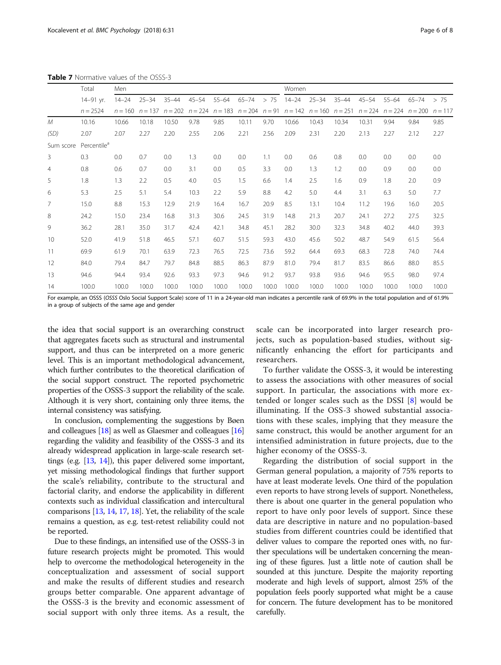|           | Total<br>14-91 yr.      | Men       |                     |           |           |           |           |       | Women     |                                                                                                                        |           |           |           |           |       |
|-----------|-------------------------|-----------|---------------------|-----------|-----------|-----------|-----------|-------|-----------|------------------------------------------------------------------------------------------------------------------------|-----------|-----------|-----------|-----------|-------|
|           |                         | $14 - 24$ | $25 - 34$           | $35 - 44$ | $45 - 54$ | $55 - 64$ | $65 - 74$ | > 75  | $14 - 24$ | $25 - 34$                                                                                                              | $35 - 44$ | $45 - 54$ | $55 - 64$ | $65 - 74$ | > 75  |
|           | $n = 2524$              |           | $n = 160$ $n = 137$ |           |           |           |           |       |           | $n = 202$ $n = 224$ $n = 183$ $n = 204$ $n = 91$ $n = 142$ $n = 160$ $n = 251$ $n = 224$ $n = 224$ $n = 200$ $n = 117$ |           |           |           |           |       |
| M         | 10.16                   | 10.66     | 10.18               | 10.50     | 9.78      | 9.85      | 10.11     | 9.70  | 10.66     | 10.43                                                                                                                  | 10.34     | 10.31     | 9.94      | 9.84      | 9.85  |
| (SD)      | 2.07                    | 2.07      | 2.27                | 2.20      | 2.55      | 2.06      | 2.21      | 2.56  | 2.09      | 2.31                                                                                                                   | 2.20      | 2.13      | 2.27      | 2.12      | 2.27  |
| Sum score | Percentile <sup>a</sup> |           |                     |           |           |           |           |       |           |                                                                                                                        |           |           |           |           |       |
| 3         | 0.3                     | 0.0       | 0.7                 | 0.0       | 1.3       | 0.0       | 0.0       | 1.1   | 0.0       | 0.6                                                                                                                    | 0.8       | 0.0       | 0.0       | 0.0       | 0.0   |
| 4         | 0.8                     | 0.6       | 0.7                 | 0.0       | 3.1       | 0.0       | 0.5       | 3.3   | 0.0       | 1.3                                                                                                                    | 1.2       | 0.0       | 0.9       | 0.0       | 0.0   |
| 5         | 1.8                     | 1.3       | 2.2                 | 0.5       | 4.0       | 0.5       | 1.5       | 6.6   | 1.4       | 2.5                                                                                                                    | 1.6       | 0.9       | 1.8       | 2.0       | 0.9   |
| 6         | 5.3                     | 2.5       | 5.1                 | 5.4       | 10.3      | 2.2       | 5.9       | 8.8   | 4.2       | 5.0                                                                                                                    | 4.4       | 3.1       | 6.3       | 5.0       | 7.7   |
| 7         | 15.0                    | 8.8       | 15.3                | 12.9      | 21.9      | 16.4      | 16.7      | 20.9  | 8.5       | 13.1                                                                                                                   | 10.4      | 11.2      | 19.6      | 16.0      | 20.5  |
| 8         | 24.2                    | 15.0      | 23.4                | 16.8      | 31.3      | 30.6      | 24.5      | 31.9  | 14.8      | 21.3                                                                                                                   | 20.7      | 24.1      | 27.2      | 27.5      | 32.5  |
| 9         | 36.2                    | 28.1      | 35.0                | 31.7      | 42.4      | 42.1      | 34.8      | 45.1  | 28.2      | 30.0                                                                                                                   | 32.3      | 34.8      | 40.2      | 44.0      | 39.3  |
| 10        | 52.0                    | 41.9      | 51.8                | 46.5      | 57.1      | 60.7      | 51.5      | 59.3  | 43.0      | 45.6                                                                                                                   | 50.2      | 48.7      | 54.9      | 61.5      | 56.4  |
| 11        | 69.9                    | 61.9      | 70.1                | 63.9      | 72.3      | 76.5      | 72.5      | 73.6  | 59.2      | 64.4                                                                                                                   | 69.3      | 68.3      | 72.8      | 74.0      | 74.4  |
| 12        | 84.0                    | 79.4      | 84.7                | 79.7      | 84.8      | 88.5      | 86.3      | 87.9  | 81.0      | 79.4                                                                                                                   | 81.7      | 83.5      | 86.6      | 88.0      | 85.5  |
| 13        | 94.6                    | 94.4      | 93.4                | 92.6      | 93.3      | 97.3      | 94.6      | 91.2  | 93.7      | 93.8                                                                                                                   | 93.6      | 94.6      | 95.5      | 98.0      | 97.4  |
| 14        | 100.0                   | 100.0     | 100.0               | 100.0     | 100.0     | 100.0     | 100.0     | 100.0 | 100.0     | 100.0                                                                                                                  | 100.0     | 100.0     | 100.0     | 100.0     | 100.0 |

<span id="page-5-0"></span>Table 7 Normative values of the OSSS-3

For example, an OSSS (OSSS Oslo Social Support Scale) score of 11 in a 24-year-old man indicates a percentile rank of 69.9% in the total population and of 61.9% in a group of subjects of the same age and gender

the idea that social support is an overarching construct that aggregates facets such as structural and instrumental support, and thus can be interpreted on a more generic level. This is an important methodological advancement, which further contributes to the theoretical clarification of the social support construct. The reported psychometric properties of the OSSS-3 support the reliability of the scale. Although it is very short, containing only three items, the internal consistency was satisfying.

In conclusion, complementing the suggestions by Bøen and colleagues [[18](#page-7-0)] as well as Glaesmer and colleagues [\[16](#page-7-0)] regarding the validity and feasibility of the OSSS-3 and its already widespread application in large-scale research settings (e.g. [[13](#page-7-0), [14\]](#page-7-0)), this paper delivered some important, yet missing methodological findings that further support the scale's reliability, contribute to the structural and factorial clarity, and endorse the applicability in different contexts such as individual classification and intercultural comparisons [\[13,](#page-7-0) [14,](#page-7-0) [17](#page-7-0), [18](#page-7-0)]. Yet, the reliability of the scale remains a question, as e.g. test-retest reliability could not be reported.

Due to these findings, an intensified use of the OSSS-3 in future research projects might be promoted. This would help to overcome the methodological heterogeneity in the conceptualization and assessment of social support and make the results of different studies and research groups better comparable. One apparent advantage of the OSSS-3 is the brevity and economic assessment of social support with only three items. As a result, the

scale can be incorporated into larger research projects, such as population-based studies, without significantly enhancing the effort for participants and researchers.

To further validate the OSSS-3, it would be interesting to assess the associations with other measures of social support. In particular, the associations with more extended or longer scales such as the DSSI [[8\]](#page-6-0) would be illuminating. If the OSS-3 showed substantial associations with these scales, implying that they measure the same construct, this would be another argument for an intensified administration in future projects, due to the higher economy of the OSSS-3.

Regarding the distribution of social support in the German general population, a majority of 75% reports to have at least moderate levels. One third of the population even reports to have strong levels of support. Nonetheless, there is about one quarter in the general population who report to have only poor levels of support. Since these data are descriptive in nature and no population-based studies from different countries could be identified that deliver values to compare the reported ones with, no further speculations will be undertaken concerning the meaning of these figures. Just a little note of caution shall be sounded at this juncture. Despite the majority reporting moderate and high levels of support, almost 25% of the population feels poorly supported what might be a cause for concern. The future development has to be monitored carefully.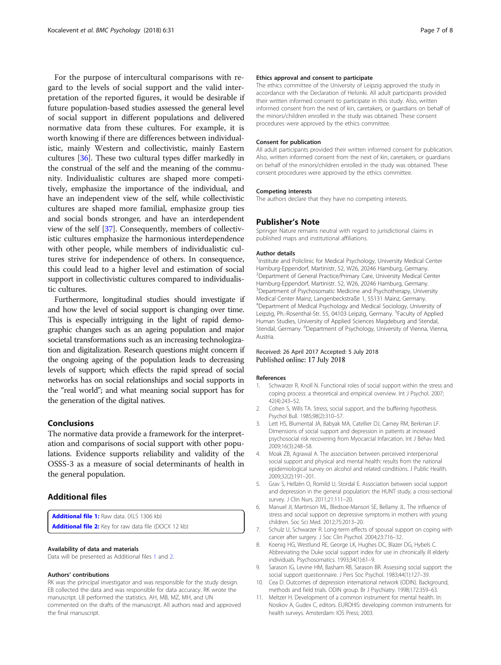<span id="page-6-0"></span>For the purpose of intercultural comparisons with regard to the levels of social support and the valid interpretation of the reported figures, it would be desirable if future population-based studies assessed the general level of social support in different populations and delivered normative data from these cultures. For example, it is worth knowing if there are differences between individualistic, mainly Western and collectivistic, mainly Eastern cultures [\[36\]](#page-7-0). These two cultural types differ markedly in the construal of the self and the meaning of the community. Individualistic cultures are shaped more competitively, emphasize the importance of the individual, and have an independent view of the self, while collectivistic cultures are shaped more familial, emphasize group ties and social bonds stronger, and have an interdependent view of the self [\[37](#page-7-0)]. Consequently, members of collectivistic cultures emphasize the harmonious interdependence with other people, while members of individualistic cultures strive for independence of others. In consequence, this could lead to a higher level and estimation of social support in collectivistic cultures compared to individualistic cultures.

Furthermore, longitudinal studies should investigate if and how the level of social support is changing over time. This is especially intriguing in the light of rapid demographic changes such as an ageing population and major societal transformations such as an increasing technologization and digitalization. Research questions might concern if the ongoing ageing of the population leads to decreasing levels of support; which effects the rapid spread of social networks has on social relationships and social supports in the "real world"; and what meaning social support has for the generation of the digital natives.

# Conclusions

The normative data provide a framework for the interpretation and comparisons of social support with other populations. Evidence supports reliability and validity of the OSSS-3 as a measure of social determinants of health in the general population.

# Additional files

[Additional file 1:](https://doi.org/10.1186/s40359-018-0249-9) Raw data. (XLS 1306 kb) [Additional file 2:](https://doi.org/10.1186/s40359-018-0249-9) Key for raw data file (DOCX 12 kb)

## Availability of data and materials

Data will be presented as Additional files 1 and 2.

#### Authors' contributions

RK was the principal investigator and was responsible for the study design. EB collected the data and was responsible for data accuracy. RK wrote the manuscript. LB performed the statistics. AH, MB, MZ, MH, and UN commented on the drafts of the manuscript. All authors read and approved the final manuscript.

#### Ethics approval and consent to participate

The ethics committee of the University of Leipzig approved the study in accordance with the Declaration of Helsinki. All adult participants provided their written informed consent to participate in this study. Also, written informed consent from the next of kin, caretakers, or guardians on behalf of the minors/children enrolled in the study was obtained. These consent procedures were approved by the ethics committee.

#### Consent for publication

All adult participants provided their written informed consent for publication. Also, written informed consent from the next of kin, caretakers, or guardians on behalf of the minors/children enrolled in the study was obtained. These consent procedures were approved by the ethics committee.

#### Competing interests

The authors declare that they have no competing interests.

#### Publisher's Note

Springer Nature remains neutral with regard to jurisdictional claims in published maps and institutional affiliations.

#### Author details

<sup>1</sup>Institute and Policlinic for Medical Psychology, University Medical Center Hamburg-Eppendorf, Martinistr, 52, W26, 20246 Hamburg, Germany. <sup>2</sup> Department of General Practice/Primary Care, University Medical Center Hamburg-Eppendorf, Martinistr. 52, W26, 20246 Hamburg, Germany. <sup>3</sup>Department of Psychosomatic Medicine and Psychotherapy, University Medical Center Mainz, Langenbeckstraße 1, 55131 Mainz, Germany. 4 Department of Medical Psychology and Medical Sociology, University of Leipzig, Ph.-Rosenthal-Str. 55, 04103 Leipzig, Germany. <sup>5</sup>Faculty of Applied Human Studies, University of Applied Sciences Magdeburg and Stendal, Stendal, Germany. <sup>6</sup>Department of Psychology, University of Vienna, Vienna, Austria.

# Received: 26 April 2017 Accepted: 5 July 2018 Published online: 17 July 2018

#### References

- 1. Schwarzer R, Knoll N. Functional roles of social support within the stress and coping process: a theoretical and empirical overview. Int J Psychol. 2007; 42(4):243–52.
- 2. Cohen S, Wills TA. Stress, social support, and the buffering hypothesis. Psychol Bull. 1985;98(2):310–57.
- Lett HS, Blumental JA, Babyak MA, Catellier DJ, Carney RM, Berkman LF. Dimensions of social support and depression in patients at increased psychosocial risk recovering from Myocarcial Infarcation. Int J Behav Med. 2009;16(3):248–58.
- 4. Moak ZB, Agrawal A. The association between perceived interpersonal social support and physical and mental health: results from the national epidemiological survey on alcohol and related conditions. J Public Health. 2009;32(2):191–201.
- 5. Grav S, Hellzèn O, Romild U, Stordal E. Association between social support and depression in the general population: the HUNT study, a cross-sectional survey. J Clin Nurs. 2011;21:111–20.
- 6. Manuel JI, Martinson ML, Bledsoe-Mansori SE, Bellamy JL. The influence of stress and social support on depressive symptoms in mothers with young children. Soc Sci Med. 2012;75:2013–20.
- 7. Schulz U, Schwarzer R. Long-term effects of spousal support on coping with cancer after surgery. J Soc Clin Psychol. 2004;23:716–32.
- 8. Koenig HG, Westlund RE, George LK, Hughes DC, Blazer DG, Hybels C. Abbreviating the Duke social support index for use in chronically ill elderly individuals. Psychosomatics. 1993;34(1):61–9.
- 9. Sarason IG, Levine HM, Basham RB, Sarason BR. Assessing social support: the social support questionnaire. J Pers Soc Psychol. 1983;44(1):127–39.
- 10. Cea D. Outcomes of depression international network (ODIN). Background, methods and field trials. ODIN group. Br J Psychiatry. 1998;172:359–63.
- 11. Meltzer H. Development of a common instrument for mental health. In: Nosikov A, Gudex C, editors. EUROHIS: developing common instruments for health surveys. Amsterdam: IOS Press; 2003.